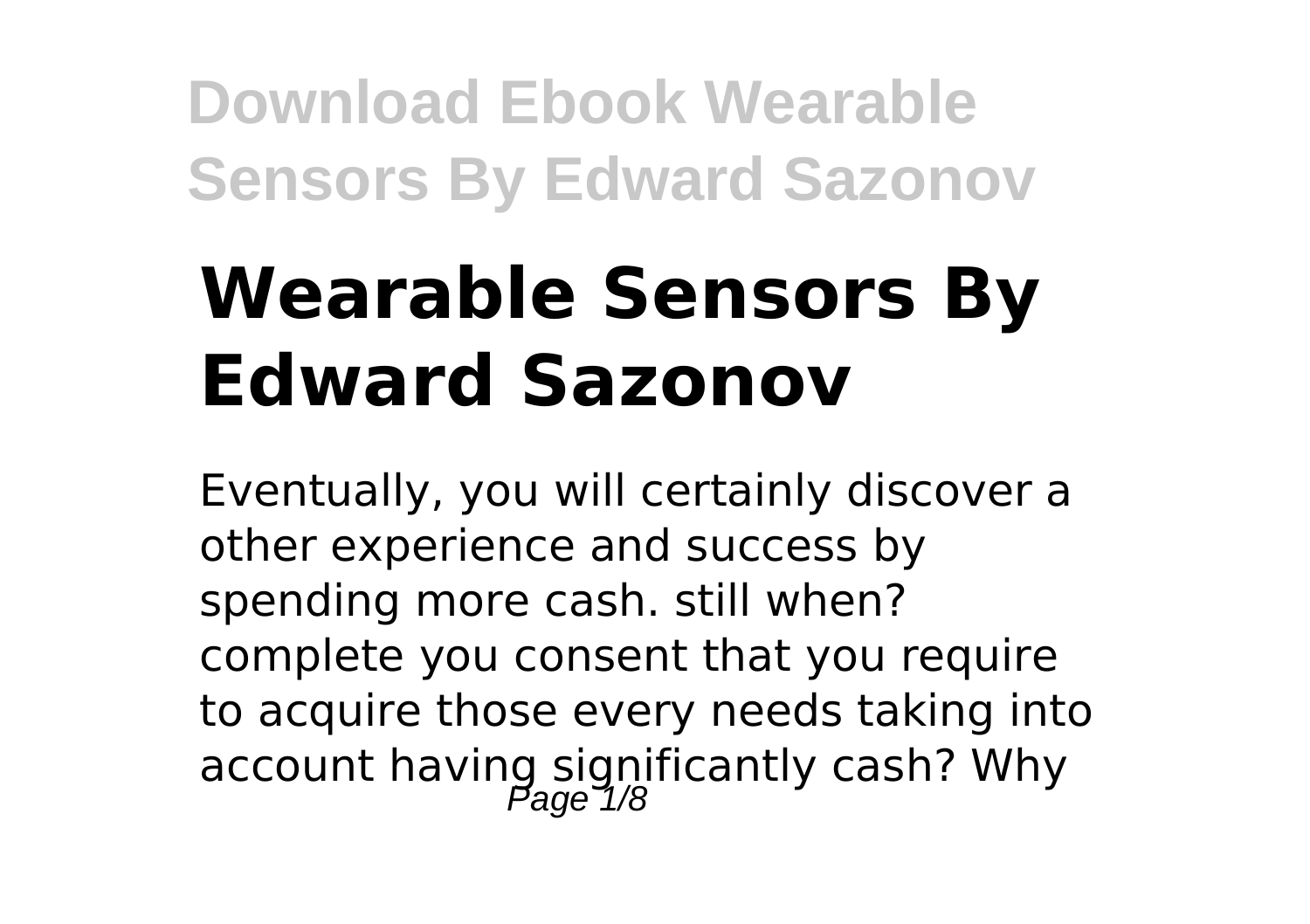# **Wearable Sensors By Edward Sazonov**

Eventually, you will certainly discover a other experience and success by spending more cash. still when? complete you consent that you require to acquire those every needs taking into account having significantly cash? Why<br>age 1/8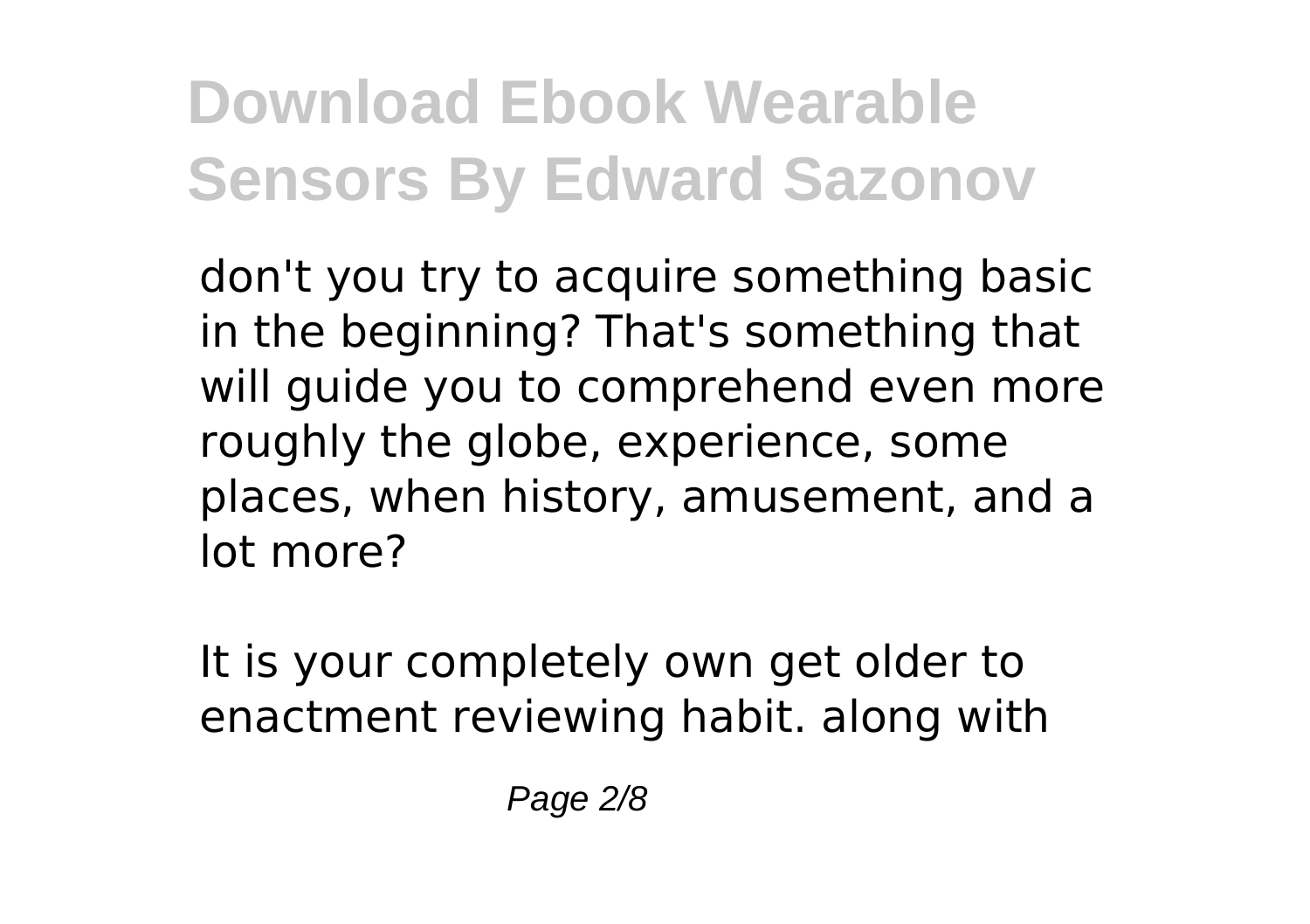don't you try to acquire something basic in the beginning? That's something that will quide you to comprehend even more roughly the globe, experience, some places, when history, amusement, and a lot more?

It is your completely own get older to enactment reviewing habit. along with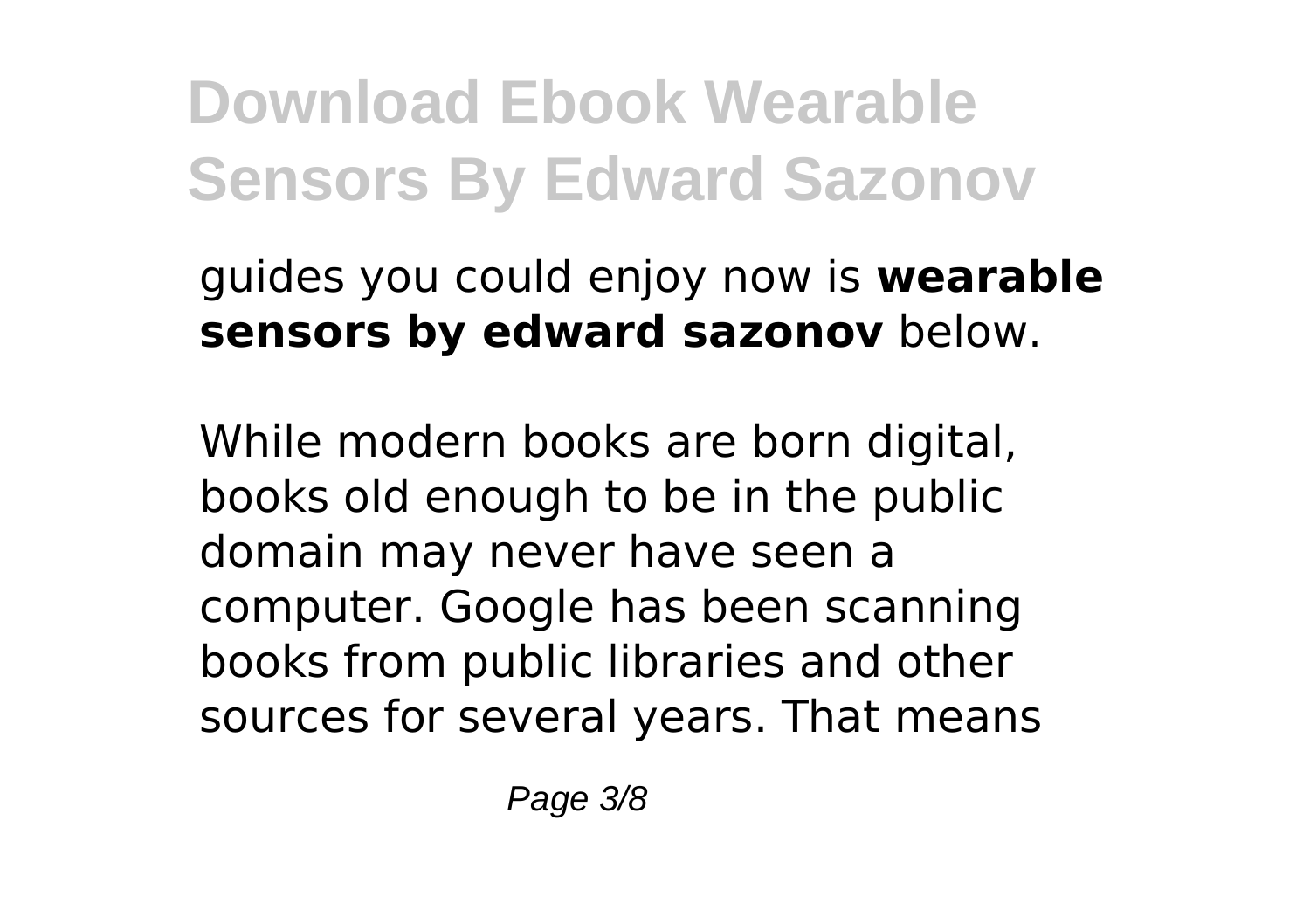guides you could enjoy now is **wearable sensors by edward sazonov** below.

While modern books are born digital, books old enough to be in the public domain may never have seen a computer. Google has been scanning books from public libraries and other sources for several years. That means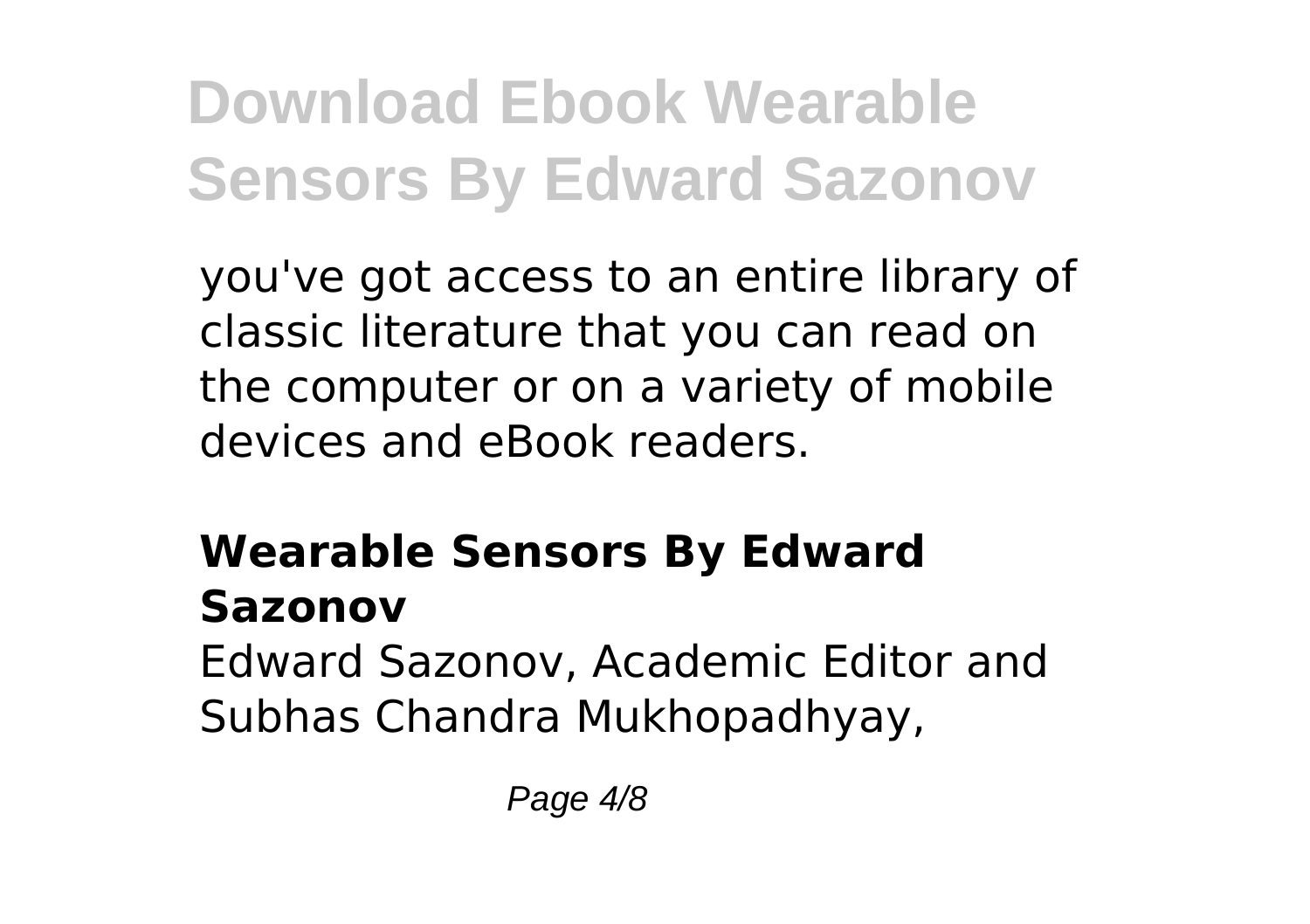you've got access to an entire library of classic literature that you can read on the computer or on a variety of mobile devices and eBook readers.

#### **Wearable Sensors By Edward Sazonov**

Edward Sazonov, Academic Editor and Subhas Chandra Mukhopadhyay,

Page 4/8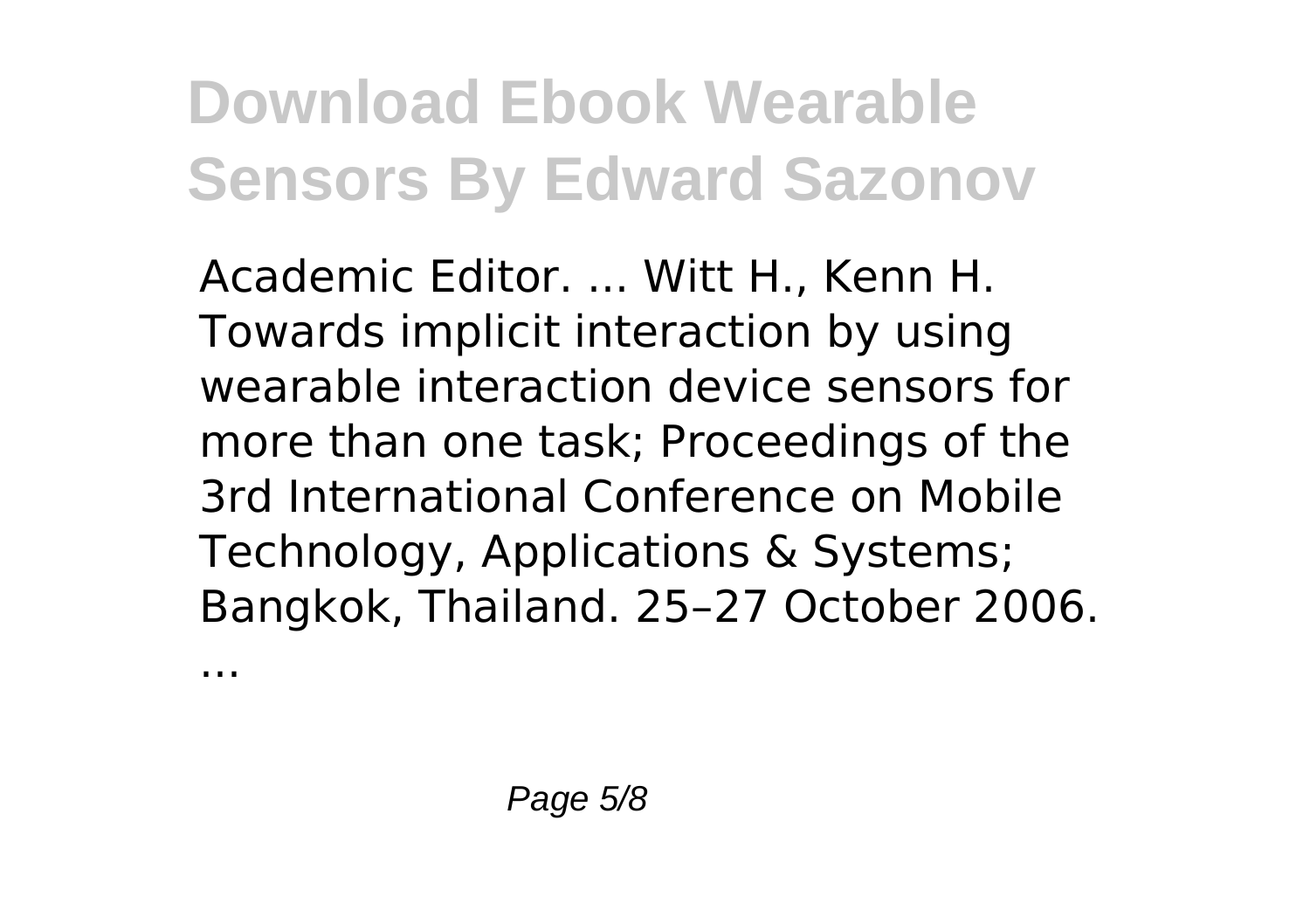Academic Editor. ... Witt H., Kenn H. Towards implicit interaction by using wearable interaction device sensors for more than one task; Proceedings of the 3rd International Conference on Mobile Technology, Applications & Systems; Bangkok, Thailand. 25–27 October 2006.

...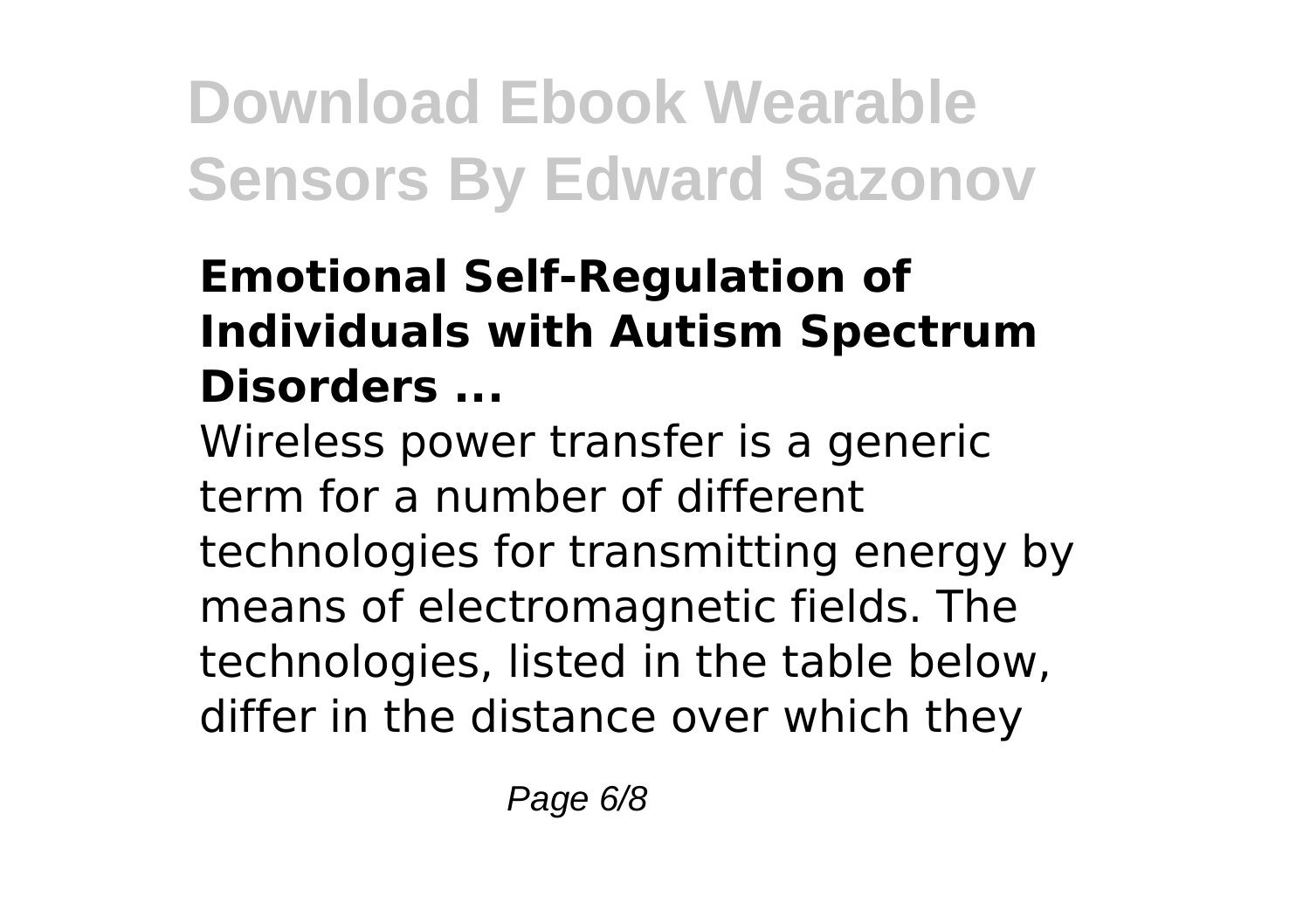#### **Emotional Self-Regulation of Individuals with Autism Spectrum Disorders ...**

Wireless power transfer is a generic term for a number of different technologies for transmitting energy by means of electromagnetic fields. The technologies, listed in the table below, differ in the distance over which they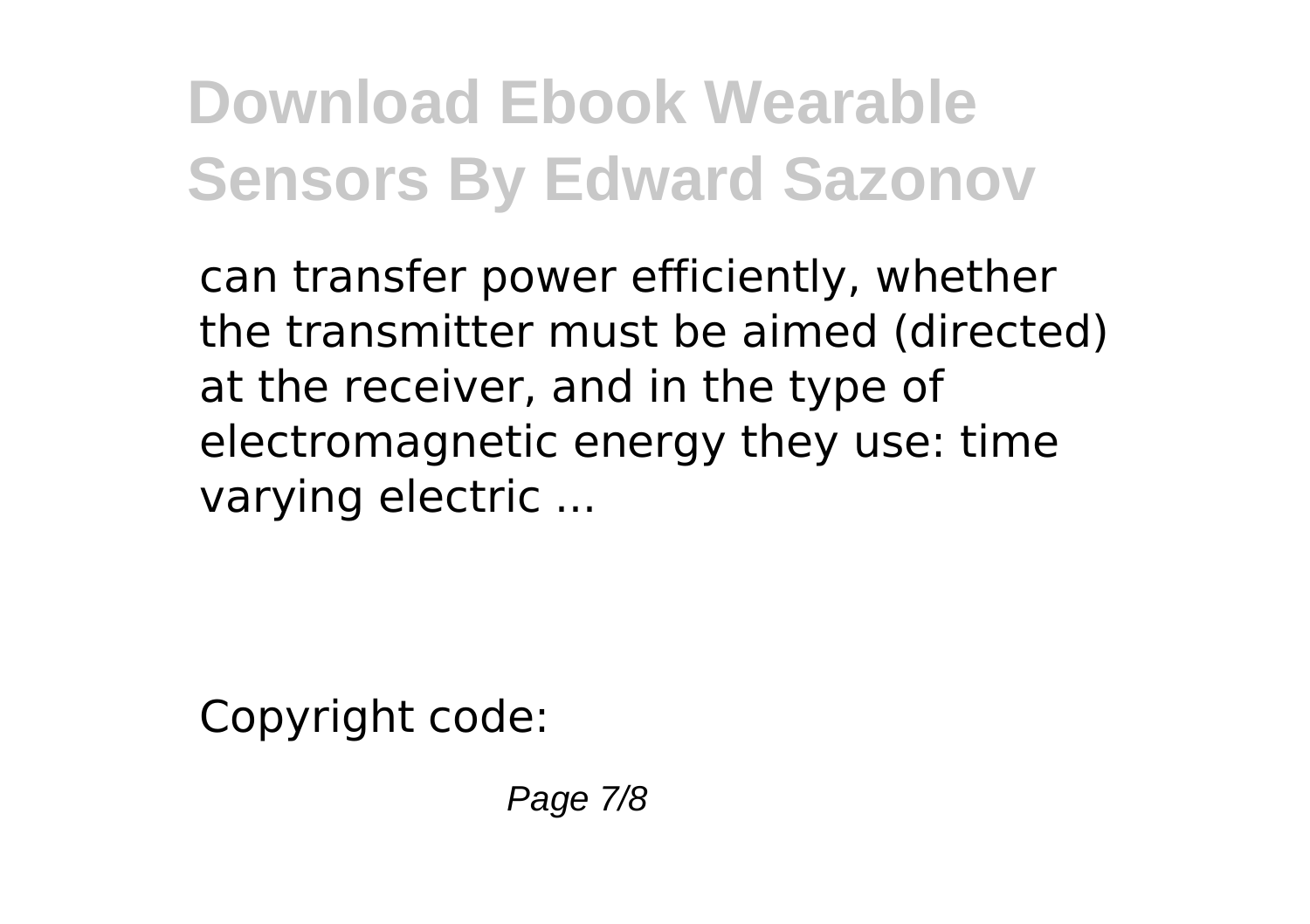can transfer power efficiently, whether the transmitter must be aimed (directed) at the receiver, and in the type of electromagnetic energy they use: time varying electric ...

Copyright code:

Page 7/8